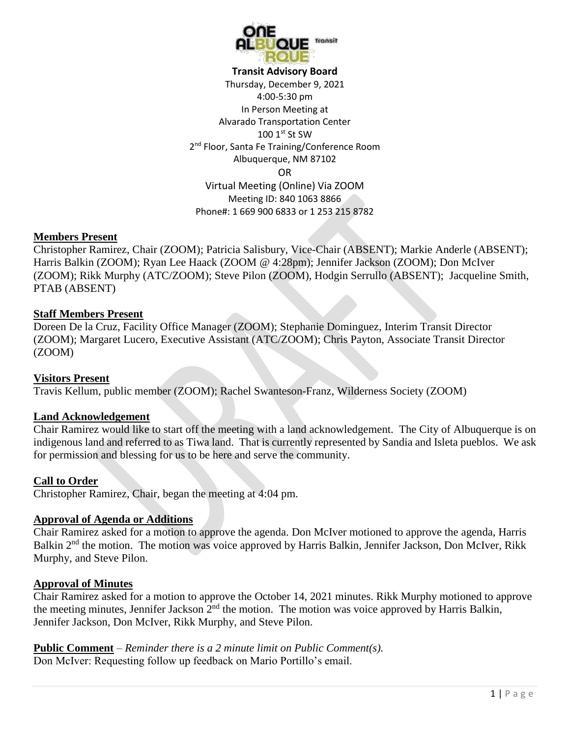

**Transit Advisory Board**

Thursday, December 9, 2021 4:00-5:30 pm In Person Meeting at Alvarado Transportation Center 100 1st St SW 2<sup>nd</sup> Floor, Santa Fe Training/Conference Room Albuquerque, NM 87102 OR Virtual Meeting (Online) Via ZOOM Meeting ID: 840 1063 8866 Phone#: 1 669 900 6833 or 1 253 215 8782

### **Members Present**

Christopher Ramirez, Chair (ZOOM); Patricia Salisbury, Vice-Chair (ABSENT); Markie Anderle (ABSENT); Harris Balkin (ZOOM); Ryan Lee Haack (ZOOM @ 4:28pm); Jennifer Jackson (ZOOM); Don McIver (ZOOM); Rikk Murphy (ATC/ZOOM); Steve Pilon (ZOOM), Hodgin Serrullo (ABSENT); Jacqueline Smith, PTAB (ABSENT)

### **Staff Members Present**

Doreen De la Cruz, Facility Office Manager (ZOOM); Stephanie Dominguez, Interim Transit Director (ZOOM); Margaret Lucero, Executive Assistant (ATC/ZOOM); Chris Payton, Associate Transit Director (ZOOM)

## **Visitors Present**

Travis Kellum, public member (ZOOM); Rachel Swanteson-Franz, Wilderness Society (ZOOM)

## **Land Acknowledgement**

Chair Ramirez would like to start off the meeting with a land acknowledgement. The City of Albuquerque is on indigenous land and referred to as Tiwa land. That is currently represented by Sandia and Isleta pueblos. We ask for permission and blessing for us to be here and serve the community.

#### **Call to Order**

Christopher Ramirez, Chair, began the meeting at 4:04 pm.

## **Approval of Agenda or Additions**

Chair Ramirez asked for a motion to approve the agenda. Don McIver motioned to approve the agenda, Harris Balkin 2<sup>nd</sup> the motion. The motion was voice approved by Harris Balkin, Jennifer Jackson, Don McIver, Rikk Murphy, and Steve Pilon.

### **Approval of Minutes**

Chair Ramirez asked for a motion to approve the October 14, 2021 minutes. Rikk Murphy motioned to approve the meeting minutes, Jennifer Jackson  $2<sup>nd</sup>$  the motion. The motion was voice approved by Harris Balkin, Jennifer Jackson, Don McIver, Rikk Murphy, and Steve Pilon.

**Public Comment** – *Reminder there is a 2 minute limit on Public Comment(s).* Don McIver: Requesting follow up feedback on Mario Portillo's email.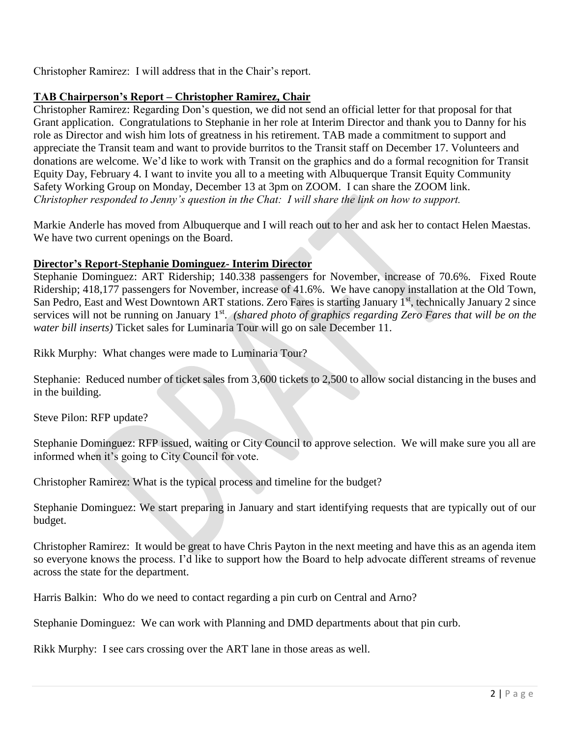Christopher Ramirez: I will address that in the Chair's report.

# **TAB Chairperson's Report – Christopher Ramirez, Chair**

Christopher Ramirez: Regarding Don's question, we did not send an official letter for that proposal for that Grant application. Congratulations to Stephanie in her role at Interim Director and thank you to Danny for his role as Director and wish him lots of greatness in his retirement. TAB made a commitment to support and appreciate the Transit team and want to provide burritos to the Transit staff on December 17. Volunteers and donations are welcome. We'd like to work with Transit on the graphics and do a formal recognition for Transit Equity Day, February 4. I want to invite you all to a meeting with Albuquerque Transit Equity Community Safety Working Group on Monday, December 13 at 3pm on ZOOM. I can share the ZOOM link. *Christopher responded to Jenny's question in the Chat: I will share the link on how to support.* 

Markie Anderle has moved from Albuquerque and I will reach out to her and ask her to contact Helen Maestas. We have two current openings on the Board.

# **Director's Report-Stephanie Dominguez- Interim Director**

Stephanie Dominguez: ART Ridership; 140.338 passengers for November, increase of 70.6%. Fixed Route Ridership; 418,177 passengers for November, increase of 41.6%. We have canopy installation at the Old Town, San Pedro, East and West Downtown ART stations. Zero Fares is starting January 1<sup>st</sup>, technically January 2 since services will not be running on January 1<sup>st</sup>. (shared photo of graphics *regarding Zero Fares that will be on the water bill inserts)* Ticket sales for Luminaria Tour will go on sale December 11.

Rikk Murphy: What changes were made to Luminaria Tour?

Stephanie: Reduced number of ticket sales from 3,600 tickets to 2,500 to allow social distancing in the buses and in the building.

Steve Pilon: RFP update?

Stephanie Dominguez: RFP issued, waiting or City Council to approve selection. We will make sure you all are informed when it's going to City Council for vote.

Christopher Ramirez: What is the typical process and timeline for the budget?

Stephanie Dominguez: We start preparing in January and start identifying requests that are typically out of our budget.

Christopher Ramirez: It would be great to have Chris Payton in the next meeting and have this as an agenda item so everyone knows the process. I'd like to support how the Board to help advocate different streams of revenue across the state for the department.

Harris Balkin: Who do we need to contact regarding a pin curb on Central and Arno?

Stephanie Dominguez: We can work with Planning and DMD departments about that pin curb.

Rikk Murphy: I see cars crossing over the ART lane in those areas as well.